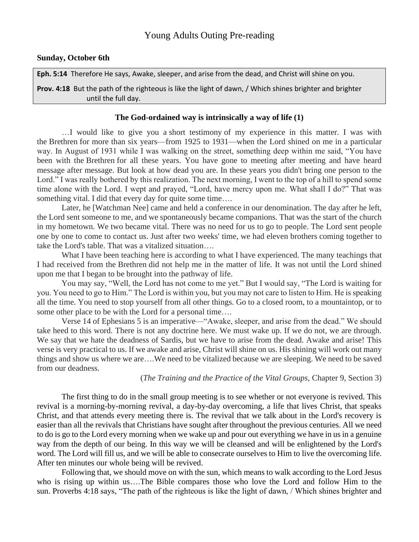## **Sunday, October 6th**

**Eph. 5:14** Therefore He says, Awake, sleeper, and arise from the dead, and Christ will shine on you.

**Prov. 4:18** But the path of the righteous is like the light of dawn, / Which shines brighter and brighter until the full day.

### **The God-ordained way is intrinsically a way of life (1)**

…I would like to give you a short testimony of my experience in this matter. I was with the Brethren for more than six years—from 1925 to 1931—when the Lord shined on me in a particular way. In August of 1931 while I was walking on the street, something deep within me said, "You have been with the Brethren for all these years. You have gone to meeting after meeting and have heard message after message. But look at how dead you are. In these years you didn't bring one person to the Lord." I was really bothered by this realization. The next morning, I went to the top of a hill to spend some time alone with the Lord. I wept and prayed, "Lord, have mercy upon me. What shall I do?" That was something vital. I did that every day for quite some time....

Later, he [Watchman Nee] came and held a conference in our denomination. The day after he left, the Lord sent someone to me, and we spontaneously became companions. That was the start of the church in my hometown. We two became vital. There was no need for us to go to people. The Lord sent people one by one to come to contact us. Just after two weeks' time, we had eleven brothers coming together to take the Lord's table. That was a vitalized situation….

What I have been teaching here is according to what I have experienced. The many teachings that I had received from the Brethren did not help me in the matter of life. It was not until the Lord shined upon me that I began to be brought into the pathway of life.

You may say, "Well, the Lord has not come to me yet." But I would say, "The Lord is waiting for you. You need to go to Him." The Lord is within you, but you may not care to listen to Him. He is speaking all the time. You need to stop yourself from all other things. Go to a closed room, to a mountaintop, or to some other place to be with the Lord for a personal time….

Verse 14 of Ephesians 5 is an imperative—"Awake, sleeper, and arise from the dead." We should take heed to this word. There is not any doctrine here. We must wake up. If we do not, we are through. We say that we hate the deadness of Sardis, but we have to arise from the dead. Awake and arise! This verse is very practical to us. If we awake and arise, Christ will shine on us. His shining will work out many things and show us where we are….We need to be vitalized because we are sleeping. We need to be saved from our deadness.

### (*The Training and the Practice of the Vital Groups,* Chapter 9, Section 3)

The first thing to do in the small group meeting is to see whether or not everyone is revived. This revival is a morning-by-morning revival, a day-by-day overcoming, a life that lives Christ, that speaks Christ, and that attends every meeting there is. The revival that we talk about in the Lord's recovery is easier than all the revivals that Christians have sought after throughout the previous centuries. All we need to do is go to the Lord every morning when we wake up and pour out everything we have in us in a genuine way from the depth of our being. In this way we will be cleansed and will be enlightened by the Lord's word. The Lord will fill us, and we will be able to consecrate ourselves to Him to live the overcoming life. After ten minutes our whole being will be revived.

Following that, we should move on with the sun, which means to walk according to the Lord Jesus who is rising up within us….The Bible compares those who love the Lord and follow Him to the sun. Proverbs 4:18 says, "The path of the righteous is like the light of dawn, / Which shines brighter and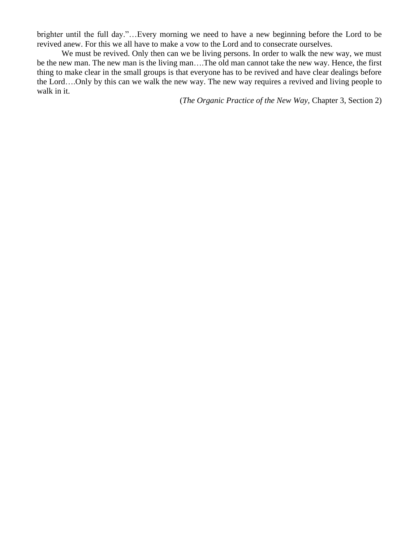brighter until the full day."…Every morning we need to have a new beginning before the Lord to be revived anew. For this we all have to make a vow to the Lord and to consecrate ourselves.

We must be revived. Only then can we be living persons. In order to walk the new way, we must be the new man. The new man is the living man….The old man cannot take the new way. Hence, the first thing to make clear in the small groups is that everyone has to be revived and have clear dealings before the Lord….Only by this can we walk the new way. The new way requires a revived and living people to walk in it.

(*The Organic Practice of the New Way,* Chapter 3, Section 2)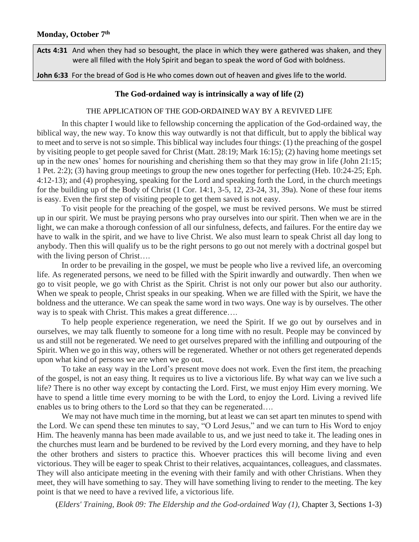**Acts 4:31** And when they had so besought, the place in which they were gathered was shaken, and they were all filled with the Holy Spirit and began to speak the word of God with boldness.

**John 6:33** For the bread of God is He who comes down out of heaven and gives life to the world.

### **The God-ordained way is intrinsically a way of life (2)**

### THE APPLICATION OF THE GOD-ORDAINED WAY BY A REVIVED LIFE

In this chapter I would like to fellowship concerning the application of the God-ordained way, the biblical way, the new way. To know this way outwardly is not that difficult, but to apply the biblical way to meet and to serve is not so simple. This biblical way includes four things: (1) the preaching of the gospel by visiting people to get people saved for Christ (Matt. 28:19; Mark 16:15); (2) having home meetings set up in the new ones' homes for nourishing and cherishing them so that they may grow in life (John 21:15; 1 Pet. 2:2); (3) having group meetings to group the new ones together for perfecting (Heb. 10:24-25; Eph. 4:12-13); and (4) prophesying, speaking for the Lord and speaking forth the Lord, in the church meetings for the building up of the Body of Christ (1 Cor. 14:1, 3-5, 12, 23-24, 31, 39a). None of these four items is easy. Even the first step of visiting people to get them saved is not easy.

To visit people for the preaching of the gospel, we must be revived persons. We must be stirred up in our spirit. We must be praying persons who pray ourselves into our spirit. Then when we are in the light, we can make a thorough confession of all our sinfulness, defects, and failures. For the entire day we have to walk in the spirit, and we have to live Christ. We also must learn to speak Christ all day long to anybody. Then this will qualify us to be the right persons to go out not merely with a doctrinal gospel but with the living person of Christ....

In order to be prevailing in the gospel, we must be people who live a revived life, an overcoming life. As regenerated persons, we need to be filled with the Spirit inwardly and outwardly. Then when we go to visit people, we go with Christ as the Spirit. Christ is not only our power but also our authority. When we speak to people, Christ speaks in our speaking. When we are filled with the Spirit, we have the boldness and the utterance. We can speak the same word in two ways. One way is by ourselves. The other way is to speak with Christ. This makes a great difference….

To help people experience regeneration, we need the Spirit. If we go out by ourselves and in ourselves, we may talk fluently to someone for a long time with no result. People may be convinced by us and still not be regenerated. We need to get ourselves prepared with the infilling and outpouring of the Spirit. When we go in this way, others will be regenerated. Whether or not others get regenerated depends upon what kind of persons we are when we go out.

To take an easy way in the Lord's present move does not work. Even the first item, the preaching of the gospel, is not an easy thing. It requires us to live a victorious life. By what way can we live such a life? There is no other way except by contacting the Lord. First, we must enjoy Him every morning. We have to spend a little time every morning to be with the Lord, to enjoy the Lord. Living a revived life enables us to bring others to the Lord so that they can be regenerated….

We may not have much time in the morning, but at least we can set apart ten minutes to spend with the Lord. We can spend these ten minutes to say, "O Lord Jesus," and we can turn to His Word to enjoy Him. The heavenly manna has been made available to us, and we just need to take it. The leading ones in the churches must learn and be burdened to be revived by the Lord every morning, and they have to help the other brothers and sisters to practice this. Whoever practices this will become living and even victorious. They will be eager to speak Christ to their relatives, acquaintances, colleagues, and classmates. They will also anticipate meeting in the evening with their family and with other Christians. When they meet, they will have something to say. They will have something living to render to the meeting. The key point is that we need to have a revived life, a victorious life.

(*Elders' Training, Book 09: The Eldership and the God-ordained Way (1),* Chapter 3, Sections 1-3)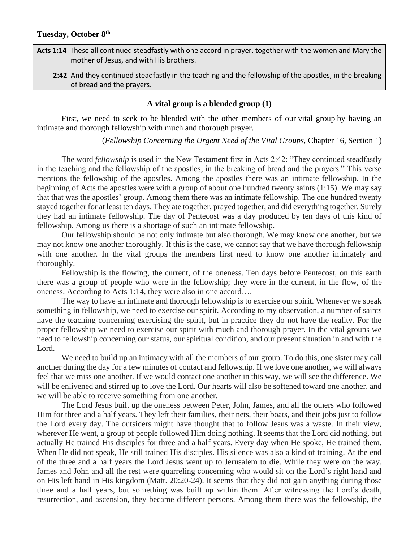**Acts 1:14** These all continued steadfastly with one accord in prayer, together with the women and Mary the mother of Jesus, and with His brothers.

 **2:42** And they continued steadfastly in the teaching and the fellowship of the apostles, in the breaking of bread and the prayers.

# **A vital group is a blended group (1)**

First, we need to seek to be blended with the other members of our vital group by having an intimate and thorough fellowship with much and thorough prayer.

(*Fellowship Concerning the Urgent Need of the Vital Groups,* Chapter 16, Section 1)

The word *fellowship* is used in the New Testament first in Acts 2:42: "They continued steadfastly in the teaching and the fellowship of the apostles, in the breaking of bread and the prayers." This verse mentions the fellowship of the apostles. Among the apostles there was an intimate fellowship. In the beginning of Acts the apostles were with a group of about one hundred twenty saints (1:15). We may say that that was the apostles' group. Among them there was an intimate fellowship. The one hundred twenty stayed together for at least ten days. They ate together, prayed together, and did everything together. Surely they had an intimate fellowship. The day of Pentecost was a day produced by ten days of this kind of fellowship. Among us there is a shortage of such an intimate fellowship.

Our fellowship should be not only intimate but also thorough. We may know one another, but we may not know one another thoroughly. If this is the case, we cannot say that we have thorough fellowship with one another. In the vital groups the members first need to know one another intimately and thoroughly.

Fellowship is the flowing, the current, of the oneness. Ten days before Pentecost, on this earth there was a group of people who were in the fellowship; they were in the current, in the flow, of the oneness. According to Acts 1:14, they were also in one accord….

The way to have an intimate and thorough fellowship is to exercise our spirit. Whenever we speak something in fellowship, we need to exercise our spirit. According to my observation, a number of saints have the teaching concerning exercising the spirit, but in practice they do not have the reality. For the proper fellowship we need to exercise our spirit with much and thorough prayer. In the vital groups we need to fellowship concerning our status, our spiritual condition, and our present situation in and with the Lord.

We need to build up an intimacy with all the members of our group. To do this, one sister may call another during the day for a few minutes of contact and fellowship. If we love one another, we will always feel that we miss one another. If we would contact one another in this way, we will see the difference. We will be enlivened and stirred up to love the Lord. Our hearts will also be softened toward one another, and we will be able to receive something from one another.

The Lord Jesus built up the oneness between Peter, John, James, and all the others who followed Him for three and a half years. They left their families, their nets, their boats, and their jobs just to follow the Lord every day. The outsiders might have thought that to follow Jesus was a waste. In their view, wherever He went, a group of people followed Him doing nothing. It seems that the Lord did nothing, but actually He trained His disciples for three and a half years. Every day when He spoke, He trained them. When He did not speak, He still trained His disciples. His silence was also a kind of training. At the end of the three and a half years the Lord Jesus went up to Jerusalem to die. While they were on the way, James and John and all the rest were quarreling concerning who would sit on the Lord's right hand and on His left hand in His kingdom (Matt. 20:20-24). It seems that they did not gain anything during those three and a half years, but something was built up within them. After witnessing the Lord's death, resurrection, and ascension, they became different persons. Among them there was the fellowship, the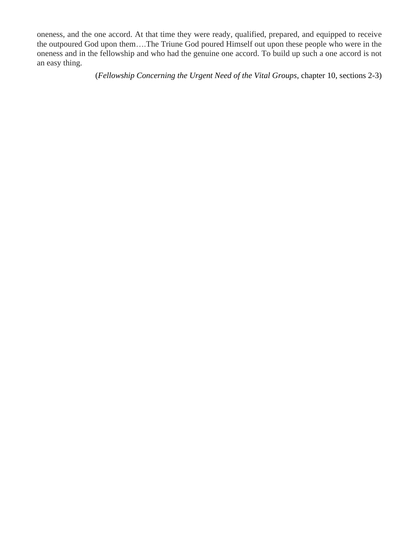oneness, and the one accord. At that time they were ready, qualified, prepared, and equipped to receive the outpoured God upon them….The Triune God poured Himself out upon these people who were in the oneness and in the fellowship and who had the genuine one accord. To build up such a one accord is not an easy thing.

(*Fellowship Concerning the Urgent Need of the Vital Groups*, chapter 10, sections 2-3)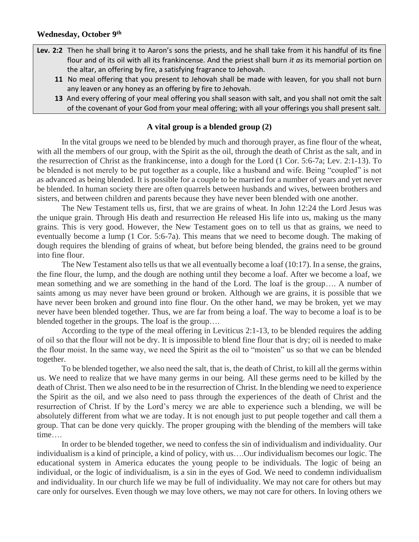- **Lev. 2:2** Then he shall bring it to Aaron's sons the priests, and he shall take from it his handful of its fine flour and of its oil with all its frankincense. And the priest shall burn *it as* its memorial portion on the altar, an offering by fire, a satisfying fragrance to Jehovah.
	- **11** No meal offering that you present to Jehovah shall be made with leaven, for you shall not burn any leaven or any honey as an offering by fire to Jehovah.
	- **13** And every offering of your meal offering you shall season with salt, and you shall not omit the salt of the covenant of your God from your meal offering; with all your offerings you shall present salt.

## **A vital group is a blended group (2)**

In the vital groups we need to be blended by much and thorough prayer, as fine flour of the wheat, with all the members of our group, with the Spirit as the oil, through the death of Christ as the salt, and in the resurrection of Christ as the frankincense, into a dough for the Lord (1 Cor. 5:6-7a; Lev. 2:1-13). To be blended is not merely to be put together as a couple, like a husband and wife. Being "coupled" is not as advanced as being blended. It is possible for a couple to be married for a number of years and yet never be blended. In human society there are often quarrels between husbands and wives, between brothers and sisters, and between children and parents because they have never been blended with one another.

The New Testament tells us, first, that we are grains of wheat. In John 12:24 the Lord Jesus was the unique grain. Through His death and resurrection He released His life into us, making us the many grains. This is very good. However, the New Testament goes on to tell us that as grains, we need to eventually become a lump (1 Cor. 5:6-7a). This means that we need to become dough. The making of dough requires the blending of grains of wheat, but before being blended, the grains need to be ground into fine flour.

The New Testament also tells us that we all eventually become a loaf (10:17). In a sense, the grains, the fine flour, the lump, and the dough are nothing until they become a loaf. After we become a loaf, we mean something and we are something in the hand of the Lord. The loaf is the group…. A number of saints among us may never have been ground or broken. Although we are grains, it is possible that we have never been broken and ground into fine flour. On the other hand, we may be broken, yet we may never have been blended together. Thus, we are far from being a loaf. The way to become a loaf is to be blended together in the groups. The loaf is the group….

According to the type of the meal offering in Leviticus 2:1-13, to be blended requires the adding of oil so that the flour will not be dry. It is impossible to blend fine flour that is dry; oil is needed to make the flour moist. In the same way, we need the Spirit as the oil to "moisten" us so that we can be blended together.

To be blended together, we also need the salt, that is, the death of Christ, to kill all the germs within us. We need to realize that we have many germs in our being. All these germs need to be killed by the death of Christ. Then we also need to be in the resurrection of Christ. In the blending we need to experience the Spirit as the oil, and we also need to pass through the experiences of the death of Christ and the resurrection of Christ. If by the Lord's mercy we are able to experience such a blending, we will be absolutely different from what we are today. It is not enough just to put people together and call them a group. That can be done very quickly. The proper grouping with the blending of the members will take time….

In order to be blended together, we need to confess the sin of individualism and individuality. Our individualism is a kind of principle, a kind of policy, with us….Our individualism becomes our logic. The educational system in America educates the young people to be individuals. The logic of being an individual, or the logic of individualism, is a sin in the eyes of God. We need to condemn individualism and individuality. In our church life we may be full of individuality. We may not care for others but may care only for ourselves. Even though we may love others, we may not care for others. In loving others we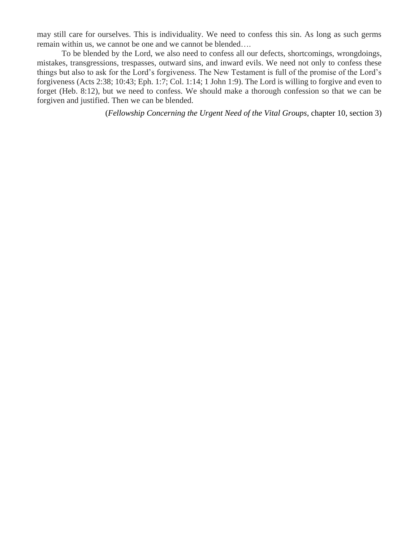may still care for ourselves. This is individuality. We need to confess this sin. As long as such germs remain within us, we cannot be one and we cannot be blended….

To be blended by the Lord, we also need to confess all our defects, shortcomings, wrongdoings, mistakes, transgressions, trespasses, outward sins, and inward evils. We need not only to confess these things but also to ask for the Lord's forgiveness. The New Testament is full of the promise of the Lord's forgiveness (Acts 2:38; 10:43; Eph. 1:7; Col. 1:14; 1 John 1:9). The Lord is willing to forgive and even to forget (Heb. 8:12), but we need to confess. We should make a thorough confession so that we can be forgiven and justified. Then we can be blended.

(*Fellowship Concerning the Urgent Need of the Vital Groups*, chapter 10, section 3)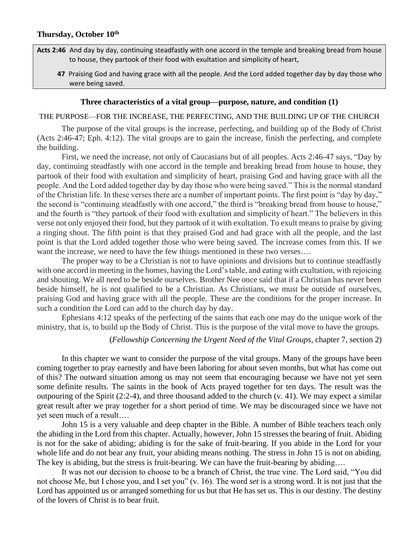- **Acts 2:46** And day by day, continuing steadfastly with one accord in the temple and breaking bread from house to house, they partook of their food with exultation and simplicity of heart,
	- **47** Praising God and having grace with all the people. And the Lord added together day by day those who were being saved.

### **Three characteristics of a vital group—purpose, nature, and condition (1)**

### THE PURPOSE—FOR THE INCREASE, THE PERFECTING, AND THE BUILDING UP OF THE CHURCH

The purpose of the vital groups is the increase, perfecting, and building up of the Body of Christ (Acts 2:46-47; Eph. 4:12). The vital groups are to gain the increase, finish the perfecting, and complete the building.

First, we need the increase, not only of Caucasians but of all peoples. Acts 2:46-47 says, "Day by day, continuing steadfastly with one accord in the temple and breaking bread from house to house, they partook of their food with exultation and simplicity of heart, praising God and having grace with all the people. And the Lord added together day by day those who were being saved." This is the normal standard of the Christian life. In these verses there are a number of important points. The first point is "day by day," the second is "continuing steadfastly with one accord," the third is "breaking bread from house to house," and the fourth is "they partook of their food with exultation and simplicity of heart." The believers in this verse not only enjoyed their food, but they partook of it with exultation. To exult means to praise by giving a ringing shout. The fifth point is that they praised God and had grace with all the people, and the last point is that the Lord added together those who were being saved. The increase comes from this. If we want the increase, we need to have the few things mentioned in these two verses....

The proper way to be a Christian is not to have opinions and divisions but to continue steadfastly with one accord in meeting in the homes, having the Lord's table, and eating with exultation, with rejoicing and shouting. We all need to be beside ourselves. Brother Nee once said that if a Christian has never been beside himself, he is not qualified to be a Christian. As Christians, we must be outside of ourselves, praising God and having grace with all the people. These are the conditions for the proper increase. In such a condition the Lord can add to the church day by day.

Ephesians 4:12 speaks of the perfecting of the saints that each one may do the unique work of the ministry, that is, to build up the Body of Christ. This is the purpose of the vital move to have the groups.

### (*Fellowship Concerning the Urgent Need of the Vital Groups*, chapter 7, section 2)

In this chapter we want to consider the purpose of the vital groups. Many of the groups have been coming together to pray earnestly and have been laboring for about seven months, but what has come out of this? The outward situation among us may not seem that encouraging because we have not yet seen some definite results. The saints in the book of Acts prayed together for ten days. The result was the outpouring of the Spirit  $(2:2-4)$ , and three thousand added to the church  $(v. 41)$ . We may expect a similar great result after we pray together for a short period of time. We may be discouraged since we have not yet seen much of a result….

John 15 is a very valuable and deep chapter in the Bible. A number of Bible teachers teach only the abiding in the Lord from this chapter. Actually, however, John 15 stresses the bearing of fruit. Abiding is not for the sake of abiding; abiding is for the sake of fruit-bearing. If you abide in the Lord for your whole life and do not bear any fruit, your abiding means nothing. The stress in John 15 is not on abiding. The key is abiding, but the stress is fruit-bearing. We can have the fruit-bearing by abiding….

It was not our decision to choose to be a branch of Christ, the true vine. The Lord said, "You did not choose Me, but I chose you, and I set you" (v. 16). The word *set* is a strong word. It is not just that the Lord has appointed us or arranged something for us but that He has set us. This is our destiny. The destiny of the lovers of Christ is to bear fruit.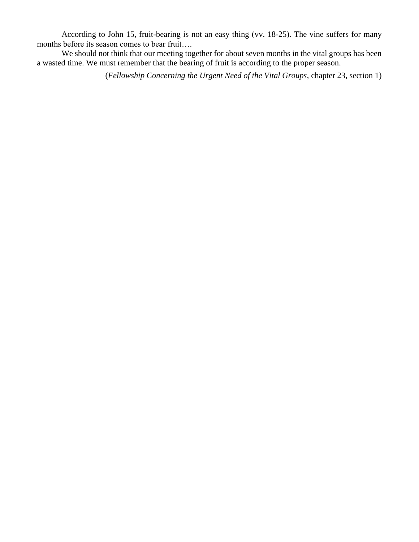According to John 15, fruit-bearing is not an easy thing (vv. 18-25). The vine suffers for many months before its season comes to bear fruit….

We should not think that our meeting together for about seven months in the vital groups has been a wasted time. We must remember that the bearing of fruit is according to the proper season.

(*Fellowship Concerning the Urgent Need of the Vital Groups*, chapter 23, section 1)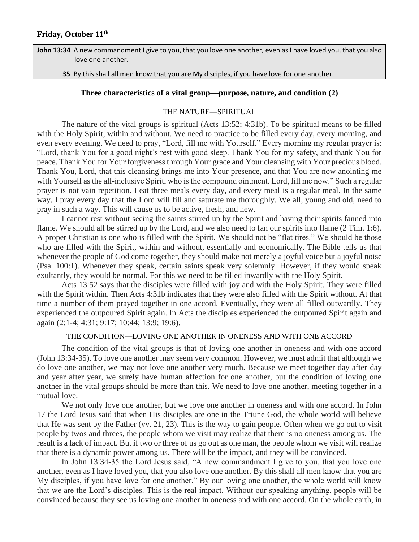**John 13:34** A new commandment I give to you, that you love one another, even as I have loved you, that you also love one another.

 **35** By this shall all men know that you are My disciples, if you have love for one another.

### **Three characteristics of a vital group—purpose, nature, and condition (2)**

#### THE NATURE—SPIRITUAL

The nature of the vital groups is spiritual (Acts 13:52; 4:31b). To be spiritual means to be filled with the Holy Spirit, within and without. We need to practice to be filled every day, every morning, and even every evening. We need to pray, "Lord, fill me with Yourself." Every morning my regular prayer is: "Lord, thank You for a good night's rest with good sleep. Thank You for my safety, and thank You for peace. Thank You for Your forgiveness through Your grace and Your cleansing with Your precious blood. Thank You, Lord, that this cleansing brings me into Your presence, and that You are now anointing me with Yourself as the all-inclusive Spirit, who is the compound ointment. Lord, fill me now." Such a regular prayer is not vain repetition. I eat three meals every day, and every meal is a regular meal. In the same way, I pray every day that the Lord will fill and saturate me thoroughly. We all, young and old, need to pray in such a way. This will cause us to be active, fresh, and new.

I cannot rest without seeing the saints stirred up by the Spirit and having their spirits fanned into flame. We should all be stirred up by the Lord, and we also need to fan our spirits into flame (2 Tim. 1:6). A proper Christian is one who is filled with the Spirit. We should not be "flat tires." We should be those who are filled with the Spirit, within and without, essentially and economically. The Bible tells us that whenever the people of God come together, they should make not merely a joyful voice but a joyful noise (Psa. 100:1). Whenever they speak, certain saints speak very solemnly. However, if they would speak exultantly, they would be normal. For this we need to be filled inwardly with the Holy Spirit.

Acts 13:52 says that the disciples were filled with joy and with the Holy Spirit. They were filled with the Spirit within. Then Acts 4:31b indicates that they were also filled with the Spirit without. At that time a number of them prayed together in one accord. Eventually, they were all filled outwardly. They experienced the outpoured Spirit again. In Acts the disciples experienced the outpoured Spirit again and again (2:1-4; 4:31; 9:17; 10:44; 13:9; 19:6).

### THE CONDITION—LOVING ONE ANOTHER IN ONENESS AND WITH ONE ACCORD

The condition of the vital groups is that of loving one another in oneness and with one accord (John 13:34-35). To love one another may seem very common. However, we must admit that although we do love one another, we may not love one another very much. Because we meet together day after day and year after year, we surely have human affection for one another, but the condition of loving one another in the vital groups should be more than this. We need to love one another, meeting together in a mutual love.

We not only love one another, but we love one another in oneness and with one accord. In John 17 the Lord Jesus said that when His disciples are one in the Triune God, the whole world will believe that He was sent by the Father (vv. 21, 23). This is the way to gain people. Often when we go out to visit people by twos and threes, the people whom we visit may realize that there is no oneness among us. The result is a lack of impact. But if two or three of us go out as one man, the people whom we visit will realize that there is a dynamic power among us. There will be the impact, and they will be convinced.

In John 13:34-35 the Lord Jesus said, "A new commandment I give to you, that you love one another, even as I have loved you, that you also love one another. By this shall all men know that you are My disciples, if you have love for one another." By our loving one another, the whole world will know that we are the Lord's disciples. This is the real impact. Without our speaking anything, people will be convinced because they see us loving one another in oneness and with one accord. On the whole earth, in